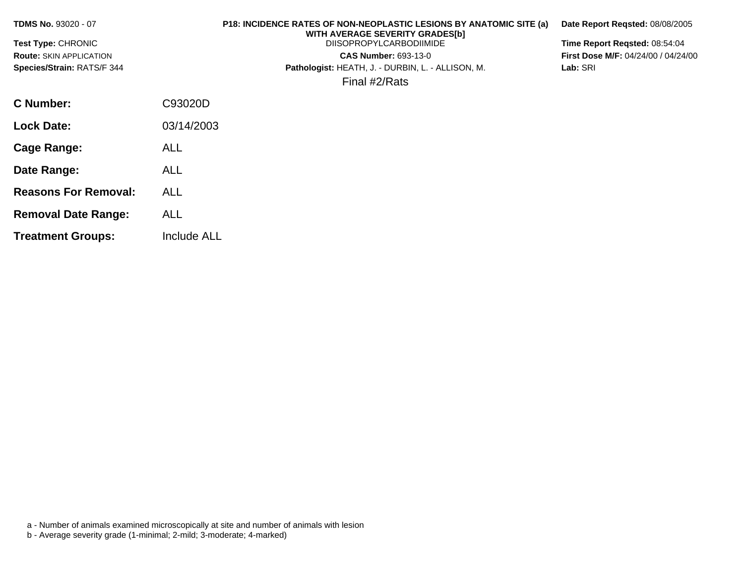| <b>TDMS No. 93020 - 07</b>     |            | <b>P18: INCIDENCE RATES OF NON-NEOPLASTIC LESIONS BY ANATOMIC SITE (a)</b><br>WITH AVERAGE SEVERITY GRADES[b] | Date Report Regsted: 08/08/2005            |
|--------------------------------|------------|---------------------------------------------------------------------------------------------------------------|--------------------------------------------|
| <b>Test Type: CHRONIC</b>      |            | <b>DIISOPROPYLCARBODIIMIDE</b>                                                                                | Time Report Regsted: 08:54:04              |
| <b>Route: SKIN APPLICATION</b> |            | <b>CAS Number: 693-13-0</b>                                                                                   | <b>First Dose M/F: 04/24/00 / 04/24/00</b> |
| Species/Strain: RATS/F 344     |            | Pathologist: HEATH, J. - DURBIN, L. - ALLISON, M.                                                             | Lab: SRI                                   |
|                                |            | Final #2/Rats                                                                                                 |                                            |
| C Number:                      | C93020D    |                                                                                                               |                                            |
| <b>Lock Date:</b>              | 03/14/2003 |                                                                                                               |                                            |
| Cage Range:                    | ALL        |                                                                                                               |                                            |

a - Number of animals examined microscopically at site and number of animals with lesion

b - Average severity grade (1-minimal; 2-mild; 3-moderate; 4-marked)

**Date Range:** ALL

**Reasons For Removal:** ALL

**Removal Date Range:** ALL

**Treatment Groups:** Include ALL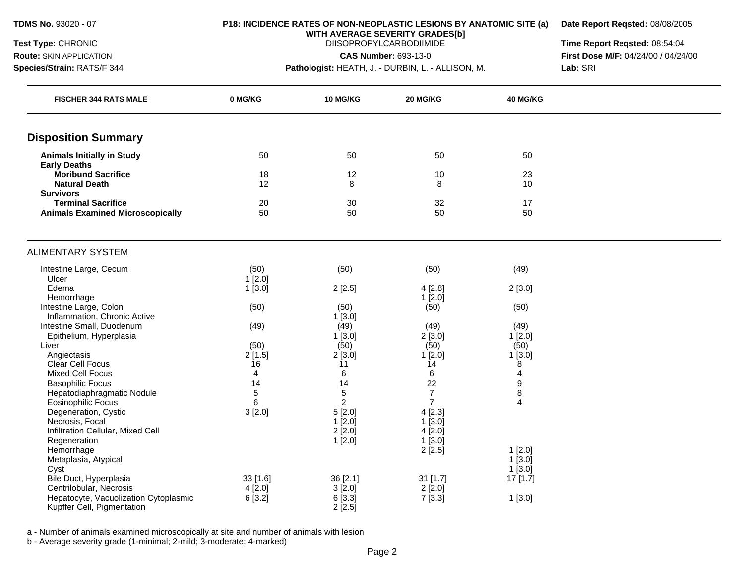**Route:** SKIN APPLICATION **Species/Strain:** RATS/F 344

#### **P18: INCIDENCE RATES OF NON-NEOPLASTIC LESIONS BY ANATOMIC SITE (a)**

**Date Report Reqsted:** 08/08/2005

**WITH AVERAGE SEVERITY GRADES[b]**  DIISOPROPYLCARBODIIMIDE

**CAS Number:** 693-13-0

**Pathologist:** HEATH, J. - DURBIN, L. - ALLISON, M.

**Time Report Reqsted:** 08:54:04 **First Dose M/F:** 04/24/00 / 04/24/00 **Lab:** SRI

| <b>FISCHER 344 RATS MALE</b>                           | 0 MG/KG        | <b>10 MG/KG</b> | 20 MG/KG       | 40 MG/KG            |  |
|--------------------------------------------------------|----------------|-----------------|----------------|---------------------|--|
| <b>Disposition Summary</b>                             |                |                 |                |                     |  |
| <b>Animals Initially in Study</b>                      | 50             | 50              | 50             | 50                  |  |
| <b>Early Deaths</b>                                    |                |                 |                |                     |  |
| <b>Moribund Sacrifice</b>                              | 18             | 12              | 10             | 23                  |  |
| <b>Natural Death</b>                                   | 12             | 8               | 8              | 10                  |  |
| <b>Survivors</b><br><b>Terminal Sacrifice</b>          | 20             | 30              | 32             | 17                  |  |
| <b>Animals Examined Microscopically</b>                | 50             | 50              | 50             | 50                  |  |
|                                                        |                |                 |                |                     |  |
| <b>ALIMENTARY SYSTEM</b>                               |                |                 |                |                     |  |
| Intestine Large, Cecum                                 | (50)           | (50)            | (50)           | (49)                |  |
| Ulcer                                                  | $1$ [2.0]      |                 |                |                     |  |
| Edema                                                  | $1$ [3.0]      | 2[2.5]          | 4[2.8]         | 2[3.0]              |  |
| Hemorrhage                                             |                |                 | 1[2.0]         |                     |  |
| Intestine Large, Colon<br>Inflammation, Chronic Active | (50)           | (50)<br>1[3.0]  | (50)           | (50)                |  |
| Intestine Small, Duodenum                              | (49)           | (49)            | (49)           | (49)                |  |
| Epithelium, Hyperplasia                                |                | $1$ [3.0]       | 2[3.0]         | $1$ [2.0]           |  |
| Liver                                                  | (50)           | (50)            | (50)           | (50)                |  |
| Angiectasis                                            | 2[1.5]         | 2[3.0]          | 1[2.0]         | 1[3.0]              |  |
| Clear Cell Focus                                       | 16             | 11              | 14             | 8                   |  |
| <b>Mixed Cell Focus</b>                                | $\overline{4}$ | 6               | 6              | $\overline{4}$      |  |
| <b>Basophilic Focus</b>                                | 14             | 14              | 22             | $\boldsymbol{9}$    |  |
| Hepatodiaphragmatic Nodule                             | 5              | $\mathbf 5$     | $\overline{7}$ | 8                   |  |
| <b>Eosinophilic Focus</b>                              | 6              | 2               | $\overline{7}$ | $\overline{4}$      |  |
| Degeneration, Cystic                                   | 3[2.0]         | 5[2.0]          | 4[2.3]         |                     |  |
| Necrosis, Focal                                        |                | 1[2.0]          | $1$ [3.0]      |                     |  |
| Infiltration Cellular, Mixed Cell                      |                | 2[2.0]          | 4[2.0]         |                     |  |
| Regeneration                                           |                | 1[2.0]          | 1[3.0]         |                     |  |
| Hemorrhage<br>Metaplasia, Atypical                     |                |                 | 2[2.5]         | 1[2.0]<br>$1$ [3.0] |  |
| Cyst                                                   |                |                 |                | $1$ [3.0]           |  |
| Bile Duct, Hyperplasia                                 | $33$ [1.6]     | 36 [2.1]        | $31$ [1.7]     | 17 [1.7]            |  |
| Centrilobular, Necrosis                                | 4[2.0]         | 3[2.0]          | 2[2.0]         |                     |  |
| Hepatocyte, Vacuolization Cytoplasmic                  | 6[3.2]         | 6 [3.3]         | 7[3.3]         | 1[3.0]              |  |
| Kupffer Cell, Pigmentation                             |                | 2[2.5]          |                |                     |  |

a - Number of animals examined microscopically at site and number of animals with lesion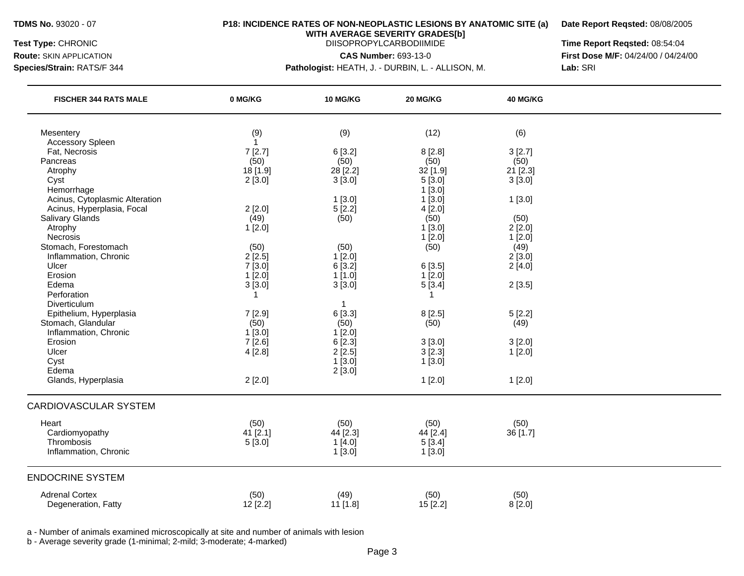**Route:** SKIN APPLICATION **Species/Strain:** RATS/F 344

#### **P18: INCIDENCE RATES OF NON-NEOPLASTIC LESIONS BY ANATOMIC SITE (a)**

**Date Report Reqsted:** 08/08/2005

**WITH AVERAGE SEVERITY GRADES[b]**  DIISOPROPYLCARBODIIMIDE

**CAS Number:** 693-13-0

**Pathologist:** HEATH, J. - DURBIN, L. - ALLISON, M.

**Time Report Reqsted:** 08:54:04 **First Dose M/F:** 04/24/00 / 04/24/00 **Lab:** SRI

| <b>FISCHER 344 RATS MALE</b>   | 0 MG/KG      | 10 MG/KG                | 20 MG/KG  | 40 MG/KG   |  |
|--------------------------------|--------------|-------------------------|-----------|------------|--|
| Mesentery                      | (9)          | (9)                     | (12)      | (6)        |  |
| <b>Accessory Spleen</b>        | $\mathbf{1}$ |                         |           |            |  |
| Fat, Necrosis                  | 7[2.7]       | 6[3.2]                  | 8[2.8]    | 3[2.7]     |  |
| Pancreas                       | (50)         | (50)                    | (50)      | (50)       |  |
| Atrophy                        | 18 [1.9]     | 28 [2.2]                | 32 [1.9]  | $21$ [2.3] |  |
| Cyst                           | 2[3.0]       | 3[3.0]                  | 5[3.0]    | 3[3.0]     |  |
| Hemorrhage                     |              |                         | 1[3.0]    |            |  |
| Acinus, Cytoplasmic Alteration |              | 1[3.0]                  | 1[3.0]    | 1[3.0]     |  |
| Acinus, Hyperplasia, Focal     | 2[2.0]       | 5[2.2]                  | 4[2.0]    |            |  |
| Salivary Glands                | (49)         | (50)                    | (50)      | (50)       |  |
| Atrophy                        | 1[2.0]       |                         | 1[3.0]    | 2[2.0]     |  |
| Necrosis                       |              |                         | $1$ [2.0] | 1[2.0]     |  |
| Stomach, Forestomach           | (50)         | (50)                    | (50)      | (49)       |  |
| Inflammation, Chronic          | 2[2.5]       | 1[2.0]                  |           | 2[3.0]     |  |
| Ulcer                          | 7[3.0]       | 6[3.2]                  | 6[3.5]    | 2[4.0]     |  |
| Erosion                        | $1$ [2.0]    | 1[1.0]                  | 1[2.0]    |            |  |
| Edema                          | 3[3.0]       | 3[3.0]                  | 5[3.4]    | 2[3.5]     |  |
| Perforation                    | 1            |                         | 1         |            |  |
| Diverticulum                   |              | $\overline{\mathbf{1}}$ |           |            |  |
| Epithelium, Hyperplasia        | 7[2.9]       | 6 [3.3]                 | 8[2.5]    | 5[2.2]     |  |
| Stomach, Glandular             | (50)         | (50)                    | (50)      | (49)       |  |
| Inflammation, Chronic          | 1[3.0]       | 1[2.0]                  |           |            |  |
| Erosion                        | 7[2.6]       | 6 [2.3]                 | 3[3.0]    | 3[2.0]     |  |
| Ulcer                          | 4[2.8]       | 2[2.5]                  | $3$ [2.3] | 1[2.0]     |  |
| Cyst                           |              | 1[3.0]                  | 1[3.0]    |            |  |
| Edema                          |              | 2[3.0]                  |           |            |  |
| Glands, Hyperplasia            | 2[2.0]       |                         | 1[2.0]    | 1[2.0]     |  |
| <b>CARDIOVASCULAR SYSTEM</b>   |              |                         |           |            |  |
| Heart                          | (50)         | (50)                    | (50)      |            |  |
| Cardiomyopathy                 |              |                         |           | (50)       |  |
| Thrombosis                     | 41 [2.1]     | 44 [2.3]                | 44 [2.4]  | 36 [1.7]   |  |
| Inflammation, Chronic          | 5[3.0]       | 1[4.0]                  | 5[3.4]    |            |  |
|                                |              | 1[3.0]                  | 1[3.0]    |            |  |
| <b>ENDOCRINE SYSTEM</b>        |              |                         |           |            |  |
| <b>Adrenal Cortex</b>          | (50)         | (49)                    | (50)      | (50)       |  |
| Degeneration, Fatty            | 12 [2.2]     | 11 [1.8]                | 15 [2.2]  | 8[2.0]     |  |

a - Number of animals examined microscopically at site and number of animals with lesion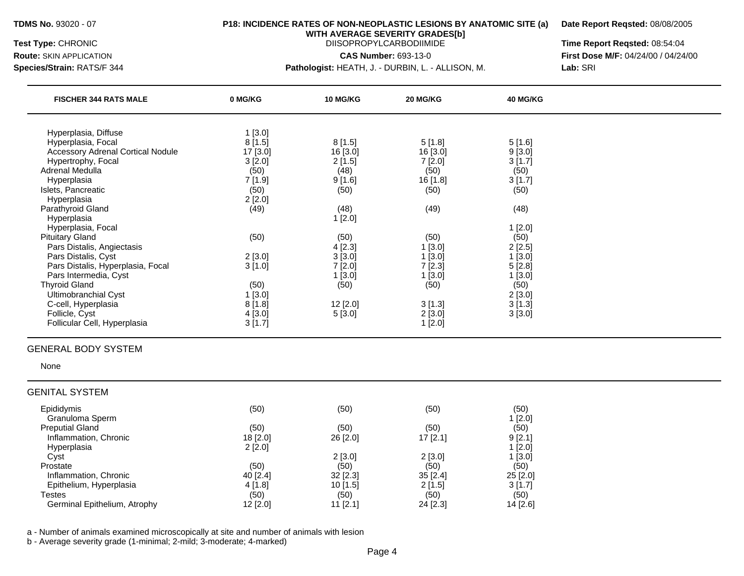**Route:** SKIN APPLICATION **Species/Strain:** RATS/F 344

#### **P18: INCIDENCE RATES OF NON-NEOPLASTIC LESIONS BY ANATOMIC SITE (a)**

**Date Report Reqsted:** 08/08/2005

**WITH AVERAGE SEVERITY GRADES[b]**  DIISOPROPYLCARBODIIMIDE

**CAS Number:** 693-13-0

**Pathologist:** HEATH, J. - DURBIN, L. - ALLISON, M.

**Time Report Reqsted:** 08:54:04 **First Dose M/F:** 04/24/00 / 04/24/00 **Lab:** SRI

| <b>FISCHER 344 RATS MALE</b>             | 0 MG/KG  | <b>10 MG/KG</b> | 20 MG/KG | 40 MG/KG |  |
|------------------------------------------|----------|-----------------|----------|----------|--|
| Hyperplasia, Diffuse                     | 1[3.0]   |                 |          |          |  |
| Hyperplasia, Focal                       | 8[1.5]   | 8[1.5]          | 5[1.8]   | 5[1.6]   |  |
| <b>Accessory Adrenal Cortical Nodule</b> | 17 [3.0] | 16 [3.0]        | 16 [3.0] | 9[3.0]   |  |
| Hypertrophy, Focal                       | 3[2.0]   | 2[1.5]          | 7[2.0]   | 3[1.7]   |  |
| Adrenal Medulla                          | (50)     | (48)            | (50)     | (50)     |  |
| Hyperplasia                              | 7[1.9]   | 9[1.6]          | 16 [1.8] | 3[1.7]   |  |
| Islets, Pancreatic                       | (50)     | (50)            | (50)     | (50)     |  |
| Hyperplasia                              | 2[2.0]   |                 |          |          |  |
| Parathyroid Gland                        | (49)     | (48)            | (49)     | (48)     |  |
| Hyperplasia                              |          | 1[2.0]          |          |          |  |
| Hyperplasia, Focal                       |          |                 |          | 1[2.0]   |  |
| <b>Pituitary Gland</b>                   | (50)     | (50)            | (50)     | (50)     |  |
| Pars Distalis, Angiectasis               |          | 4[2.3]          | 1[3.0]   | 2[2.5]   |  |
| Pars Distalis, Cyst                      | 2[3.0]   | 3[3.0]          | 1[3.0]   | 1[3.0]   |  |
| Pars Distalis, Hyperplasia, Focal        | 3[1.0]   | 7[2.0]          | 7[2.3]   | 5[2.8]   |  |
| Pars Intermedia, Cyst                    |          | 1[3.0]          | 1[3.0]   | 1[3.0]   |  |
| <b>Thyroid Gland</b>                     | (50)     | (50)            | (50)     | (50)     |  |
| Ultimobranchial Cyst                     | 1[3.0]   |                 |          | 2[3.0]   |  |
| C-cell, Hyperplasia                      | 8[1.8]   | 12 [2.0]        | 3[1.3]   | 3[1.3]   |  |
| Follicle, Cyst                           | 4[3.0]   | 5[3.0]          | 2[3.0]   | 3[3.0]   |  |
| Follicular Cell, Hyperplasia             | 3[1.7]   |                 | 1 [2.0]  |          |  |

#### GENERAL BODY SYSTEM

None

#### GENITAL SYSTEM

| Epididymis<br>Granuloma Sperm | (50)     | (50)       | (50)       | (50)<br>1 [2.0] |
|-------------------------------|----------|------------|------------|-----------------|
| <b>Preputial Gland</b>        | (50)     | (50)       | (50)       | (50)            |
| Inflammation, Chronic         | 18 [2.0] | 26 [2.0]   | $17$ [2.1] | 9[2.1]          |
| Hyperplasia                   | 2[2.0]   |            |            | 1[2.0]          |
| Cyst                          |          | 2[3.0]     | $2$ [3.0]  | 1[3.0]          |
| Prostate                      | (50)     | (50)       | (50)       | (50)            |
| Inflammation, Chronic         | 40 [2.4] | $32$ [2.3] | $35$ [2.4] | $25$ [2.0]      |
| Epithelium, Hyperplasia       | 4 [1.8]  | 10[1.5]    | 2[1.5]     | 3 [1.7]         |
| Testes                        | (50)     | (50)       | (50)       | (50)            |
| Germinal Epithelium, Atrophy  | 12 [2.0] | $11$ [2.1] | 24 [2.3]   | 14 [2.6]        |

a - Number of animals examined microscopically at site and number of animals with lesion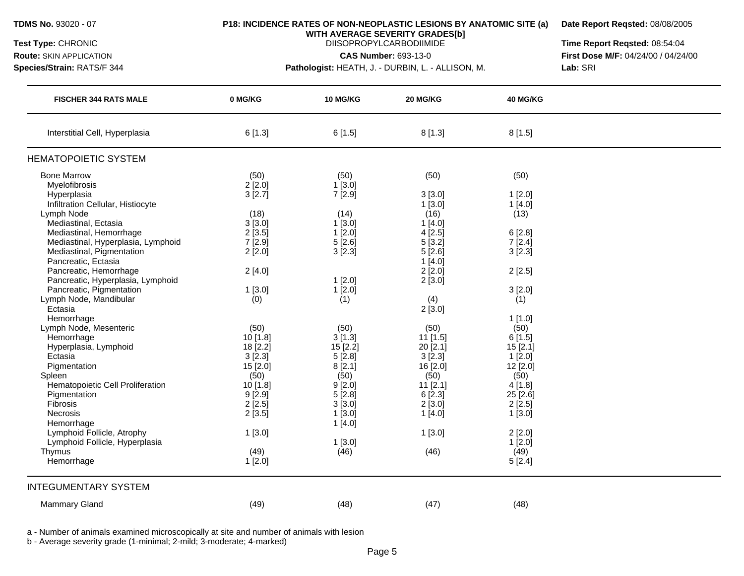**Route:** SKIN APPLICATION **Species/Strain:** RATS/F 344

#### **P18: INCIDENCE RATES OF NON-NEOPLASTIC LESIONS BY ANATOMIC SITE (a)**

**Date Report Reqsted:** 08/08/2005

**WITH AVERAGE SEVERITY GRADES[b]**  DIISOPROPYLCARBODIIMIDE

**CAS Number:** 693-13-0

**Pathologist:** HEATH, J. - DURBIN, L. - ALLISON, M.

**Time Report Reqsted:** 08:54:04 **First Dose M/F:** 04/24/00 / 04/24/00 **Lab:** SRI

| <b>FISCHER 344 RATS MALE</b>             | 0 MG/KG    | 10 MG/KG   | 20 MG/KG   | 40 MG/KG |  |
|------------------------------------------|------------|------------|------------|----------|--|
| Interstitial Cell, Hyperplasia           | 6[1.3]     | 6[1.5]     | 8[1.3]     | 8[1.5]   |  |
| <b>HEMATOPOIETIC SYSTEM</b>              |            |            |            |          |  |
| <b>Bone Marrow</b>                       | (50)       | (50)       | (50)       | (50)     |  |
| Myelofibrosis                            | 2[2.0]     | 1[3.0]     |            |          |  |
| Hyperplasia                              | 3[2.7]     | 7 [2.9]    | 3[3.0]     | 1[2.0]   |  |
| Infiltration Cellular, Histiocyte        |            |            | 1[3.0]     | 1[4.0]   |  |
| Lymph Node                               | (18)       | (14)       | (16)       | (13)     |  |
| Mediastinal, Ectasia                     | 3[3.0]     | 1[3.0]     | 1[4.0]     |          |  |
| Mediastinal, Hemorrhage                  | 2[3.5]     | 1[2.0]     | 4[2.5]     | 6[2.8]   |  |
| Mediastinal, Hyperplasia, Lymphoid       | 7[2.9]     | 5[2.6]     | 5[3.2]     | 7[2.4]   |  |
| Mediastinal, Pigmentation                | 2[2.0]     | 3[2.3]     | 5[2.6]     | 3[2.3]   |  |
| Pancreatic, Ectasia                      |            |            | 1[4.0]     |          |  |
| Pancreatic, Hemorrhage                   | 2[4.0]     |            | 2[2.0]     | 2[2.5]   |  |
| Pancreatic, Hyperplasia, Lymphoid        |            | $1$ [2.0]  | 2[3.0]     |          |  |
| Pancreatic, Pigmentation                 | 1[3.0]     | 1[2.0]     |            | 3[2.0]   |  |
| Lymph Node, Mandibular                   | (0)        | (1)        | (4)        | (1)      |  |
| Ectasia                                  |            |            | 2[3.0]     |          |  |
| Hemorrhage                               |            |            |            | 1[1.0]   |  |
| Lymph Node, Mesenteric                   | (50)       | (50)       | (50)       | (50)     |  |
| Hemorrhage                               | 10 [1.8]   | 3[1.3]     | $11$ [1.5] | 6[1.5]   |  |
| Hyperplasia, Lymphoid                    | $18$ [2.2] | $15$ [2.2] | $20$ [2.1] | 15[2.1]  |  |
| Ectasia                                  | 3[2.3]     | 5[2.8]     | 3[2.3]     | 1[2.0]   |  |
| Pigmentation                             | 15 [2.0]   | 8[2.1]     | 16 [2.0]   | 12 [2.0] |  |
| Spleen                                   | (50)       | (50)       | (50)       | (50)     |  |
| Hematopoietic Cell Proliferation         | $10$ [1.8] | 9[2.0]     | $11$ [2.1] | 4[1.8]   |  |
| Pigmentation                             | 9[2.9]     | 5[2.8]     | 6[2.3]     | 25 [2.6] |  |
| Fibrosis                                 | 2[2.5]     | 3[3.0]     | 2[3.0]     | 2[2.5]   |  |
| Necrosis                                 |            | $1$ [3.0]  | 1[4.0]     |          |  |
|                                          | 2[3.5]     |            |            | 1[3.0]   |  |
| Hemorrhage<br>Lymphoid Follicle, Atrophy |            | 1[4.0]     |            |          |  |
|                                          | 1[3.0]     |            | 1[3.0]     | 2[2.0]   |  |
| Lymphoid Follicle, Hyperplasia           |            | $1$ [3.0]  |            | 1[2.0]   |  |
| Thymus                                   | (49)       | (46)       | (46)       | (49)     |  |
| Hemorrhage                               | 1[2.0]     |            |            | 5[2.4]   |  |
| <b>INTEGUMENTARY SYSTEM</b>              |            |            |            |          |  |
| Mammary Gland                            | (49)       | (48)       | (47)       | (48)     |  |

a - Number of animals examined microscopically at site and number of animals with lesion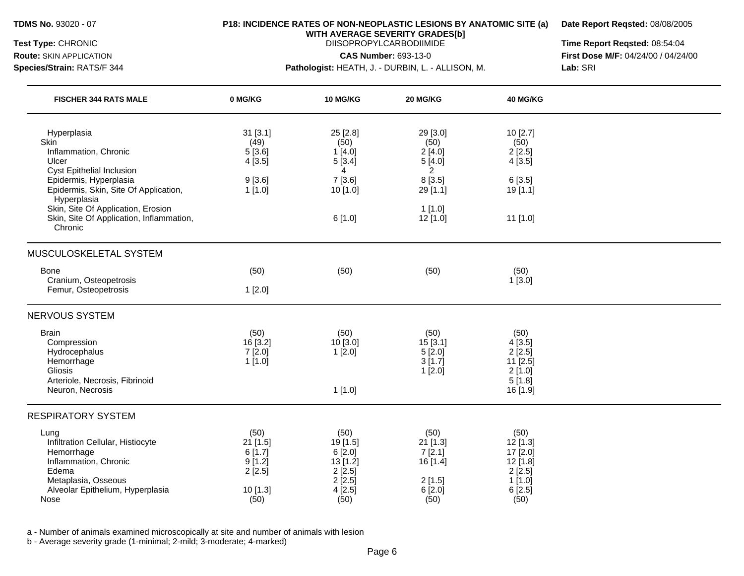**Route:** SKIN APPLICATION **Species/Strain:** RATS/F 344

### **P18: INCIDENCE RATES OF NON-NEOPLASTIC LESIONS BY ANATOMIC SITE (a)**

**Date Report Reqsted:** 08/08/2005

**WITH AVERAGE SEVERITY GRADES[b]**  DIISOPROPYLCARBODIIMIDE

**CAS Number:** 693-13-0

**Pathologist:** HEATH, J. - DURBIN, L. - ALLISON, M.

**Time Report Reqsted:** 08:54:04 **First Dose M/F:** 04/24/00 / 04/24/00 **Lab:** SRI

| <b>FISCHER 344 RATS MALE</b>                                                                                                                                 | 0 MG/KG                                                             | 10 MG/KG                                                                      | 20 MG/KG                                                             | 40 MG/KG                                                                         |  |
|--------------------------------------------------------------------------------------------------------------------------------------------------------------|---------------------------------------------------------------------|-------------------------------------------------------------------------------|----------------------------------------------------------------------|----------------------------------------------------------------------------------|--|
| Hyperplasia<br>Skin<br>Inflammation, Chronic<br>Ulcer<br>Cyst Epithelial Inclusion                                                                           | 31 [3.1]<br>(49)<br>5[3.6]<br>4[3.5]                                | 25 [2.8]<br>(50)<br>1[4.0]<br>5[3.4]<br>4                                     | 29 [3.0]<br>(50)<br>2[4.0]<br>5[4.0]<br>$\overline{2}$               | 10 [2.7]<br>(50)<br>2[2.5]<br>4[3.5]                                             |  |
| Epidermis, Hyperplasia<br>Epidermis, Skin, Site Of Application,                                                                                              | 9[3.6]<br>1[1.0]                                                    | 7[3.6]<br>10 [1.0]                                                            | 8 [3.5]<br>29 [1.1]                                                  | 6[3.5]<br>19 [1.1]                                                               |  |
| Hyperplasia<br>Skin, Site Of Application, Erosion<br>Skin, Site Of Application, Inflammation,<br>Chronic                                                     |                                                                     | 6[1.0]                                                                        | 1[1.0]<br>12 [1.0]                                                   | 11 [1.0]                                                                         |  |
| MUSCULOSKELETAL SYSTEM                                                                                                                                       |                                                                     |                                                                               |                                                                      |                                                                                  |  |
| <b>Bone</b>                                                                                                                                                  | (50)                                                                | (50)                                                                          | (50)                                                                 | (50)                                                                             |  |
| Cranium, Osteopetrosis<br>Femur, Osteopetrosis                                                                                                               | 1[2.0]                                                              |                                                                               |                                                                      | 1[3.0]                                                                           |  |
| <b>NERVOUS SYSTEM</b>                                                                                                                                        |                                                                     |                                                                               |                                                                      |                                                                                  |  |
| <b>Brain</b><br>Compression<br>Hydrocephalus<br>Hemorrhage<br>Gliosis<br>Arteriole, Necrosis, Fibrinoid<br>Neuron, Necrosis                                  | (50)<br>16 [3.2]<br>7[2.0]<br>1[1.0]                                | (50)<br>10 [3.0]<br>1[2.0]<br>1[1.0]                                          | (50)<br>15[3.1]<br>5[2.0]<br>3[1.7]<br>$1$ [2.0]                     | (50)<br>4[3.5]<br>2[2.5]<br>11 [2.5]<br>2[1.0]<br>5[1.8]<br>16 [1.9]             |  |
| <b>RESPIRATORY SYSTEM</b>                                                                                                                                    |                                                                     |                                                                               |                                                                      |                                                                                  |  |
| Lung<br>Infiltration Cellular, Histiocyte<br>Hemorrhage<br>Inflammation, Chronic<br>Edema<br>Metaplasia, Osseous<br>Alveolar Epithelium, Hyperplasia<br>Nose | (50)<br>$21$ [1.5]<br>6[1.7]<br>9[1.2]<br>2[2.5]<br>10[1.3]<br>(50) | (50)<br>19 [1.5]<br>6 [2.0]<br>13 [1.2]<br>2[2.5]<br>2[2.5]<br>4[2.5]<br>(50) | (50)<br>$21$ [1.3]<br>7[2.1]<br>16 [1.4]<br>2[1.5]<br>6[2.0]<br>(50) | (50)<br>$12$ [1.3]<br>17 [2.0]<br>12 [1.8]<br>2[2.5]<br>1[1.0]<br>6[2.5]<br>(50) |  |

a - Number of animals examined microscopically at site and number of animals with lesion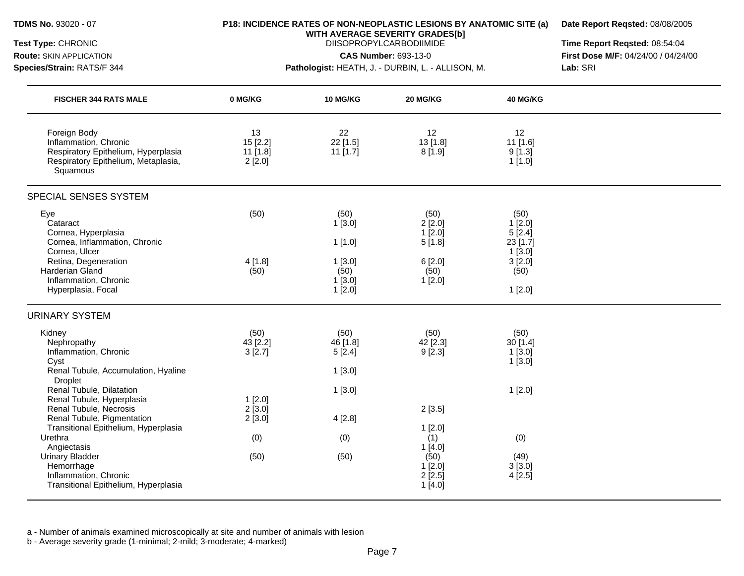#### **P18: INCIDENCE RATES OF NON-NEOPLASTIC LESIONS BY ANATOMIC SITE (a)**

**Date Report Reqsted:** 08/08/2005

**WITH AVERAGE SEVERITY GRADES[b]**  DIISOPROPYLCARBODIIMIDE

**CAS Number:** 693-13-0

**Route:** SKIN APPLICATION **Species/Strain:** RATS/F 344

#### **Pathologist:** HEATH, J. - DURBIN, L. - ALLISON, M.

**Time Report Reqsted:** 08:54:04 **First Dose M/F:** 04/24/00 / 04/24/00 **Lab:** SRI

| 22<br>22 [1.5]<br>11 [1.7]                                              | 12<br>13 [1.8]                                                                    | 12                                                                         |        |
|-------------------------------------------------------------------------|-----------------------------------------------------------------------------------|----------------------------------------------------------------------------|--------|
|                                                                         | 8[1.9]                                                                            | 11 [1.6]<br>9[1.3]<br>$1$ [1.0]                                            |        |
|                                                                         |                                                                                   |                                                                            |        |
| (50)<br>1[3.0]<br>1[1.0]<br>1[3.0]<br>(50)<br>1[3.0]<br>1[2.0]          | (50)<br>2[2.0]<br>1[2.0]<br>5[1.8]<br>6[2.0]<br>(50)<br>1[2.0]                    | (50)<br>1[2.0]<br>5[2.4]<br>23 [1.7]<br>1[3.0]<br>3[2.0]<br>(50)<br>1[2.0] |        |
|                                                                         |                                                                                   |                                                                            |        |
| (50)<br>46 [1.8]<br>5[2.4]<br>1[3.0]<br>1[3.0]<br>4[2.8]<br>(0)<br>(50) | (50)<br>42 [2.3]<br>9[2.3]<br>2[3.5]<br>1[2.0]<br>(1)<br>1[4.0]<br>(50)<br>1[2.0] | (50)<br>30 [1.4]<br>1[3.0]<br>1[3.0]<br>1[2.0]<br>(0)<br>(49)<br>3[3.0]    |        |
|                                                                         |                                                                                   | 2[2.5]<br>1[4.0]                                                           | 4[2.5] |

a - Number of animals examined microscopically at site and number of animals with lesion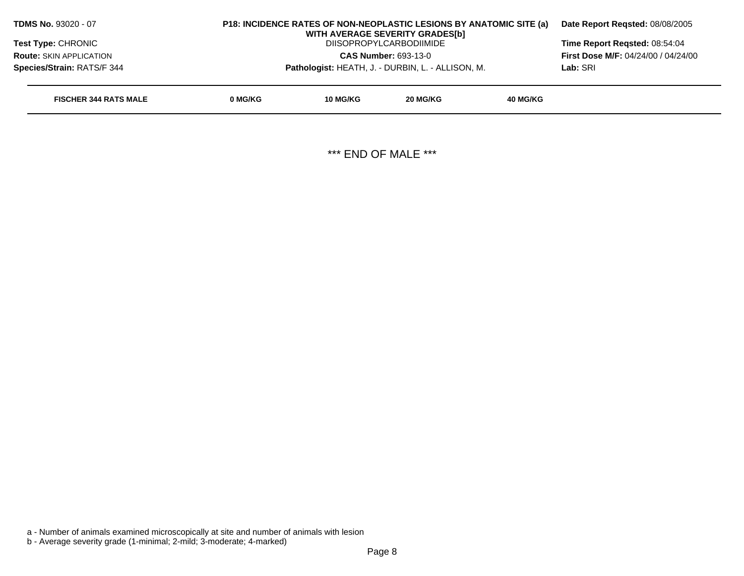| <b>TDMS No. 93020 - 07</b>     | <b>P18: INCIDENCE RATES OF NON-NEOPLASTIC LESIONS BY ANATOMIC SITE (a)</b> | Date Report Regsted: 08/08/2005                   |                                                                   |                 |                               |
|--------------------------------|----------------------------------------------------------------------------|---------------------------------------------------|-------------------------------------------------------------------|-----------------|-------------------------------|
| <b>Test Type: CHRONIC</b>      |                                                                            |                                                   | WITH AVERAGE SEVERITY GRADES[b]<br><b>DIISOPROPYLCARBODIIMIDE</b> |                 | Time Report Regsted: 08:54:04 |
| <b>Route: SKIN APPLICATION</b> |                                                                            | <b>CAS Number: 693-13-0</b>                       |                                                                   |                 |                               |
| Species/Strain: RATS/F 344     |                                                                            | Pathologist: HEATH, J. - DURBIN, L. - ALLISON, M. | Lab: SRI                                                          |                 |                               |
| <b>FISCHER 344 RATS MALE</b>   | 0 MG/KG                                                                    | 10 MG/KG                                          | 20 MG/KG                                                          | <b>40 MG/KG</b> |                               |
|                                |                                                                            |                                                   |                                                                   |                 |                               |
|                                |                                                                            |                                                   |                                                                   |                 |                               |

\*\*\* END OF MALE \*\*\*

a - Number of animals examined microscopically at site and number of animals with lesion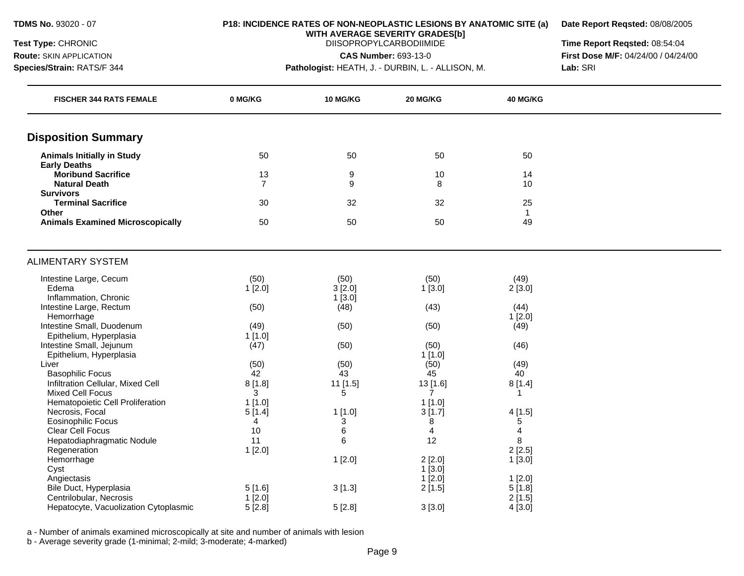**Route:** SKIN APPLICATION **Species/Strain:** RATS/F 344

#### **P18: INCIDENCE RATES OF NON-NEOPLASTIC LESIONS BY ANATOMIC SITE (a)**

**Date Report Reqsted:** 08/08/2005

**WITH AVERAGE SEVERITY GRADES[b]**  DIISOPROPYLCARBODIIMIDE

**CAS Number:** 693-13-0

**Pathologist:** HEATH, J. - DURBIN, L. - ALLISON, M.

**Time Report Reqsted:** 08:54:04 **First Dose M/F:** 04/24/00 / 04/24/00 **Lab:** SRI

| <b>FISCHER 344 RATS FEMALE</b>                               | 0 MG/KG        | <b>10 MG/KG</b> | 20 MG/KG       | 40 MG/KG                |  |
|--------------------------------------------------------------|----------------|-----------------|----------------|-------------------------|--|
| <b>Disposition Summary</b>                                   |                |                 |                |                         |  |
| <b>Animals Initially in Study</b>                            | 50             | 50              | 50             | 50                      |  |
| <b>Early Deaths</b>                                          |                |                 |                |                         |  |
| <b>Moribund Sacrifice</b>                                    | 13             | 9               | $10$           | 14                      |  |
| <b>Natural Death</b>                                         | $\overline{7}$ | 9               | 8              | 10                      |  |
| <b>Survivors</b>                                             |                |                 |                |                         |  |
| <b>Terminal Sacrifice</b>                                    | 30             | 32              | 32             | 25                      |  |
| Other<br><b>Animals Examined Microscopically</b>             | 50             | 50              | 50             | $\mathbf{1}$<br>49      |  |
|                                                              |                |                 |                |                         |  |
| <b>ALIMENTARY SYSTEM</b>                                     |                |                 |                |                         |  |
| Intestine Large, Cecum                                       | (50)           | (50)            | (50)           | (49)                    |  |
| Edema                                                        | 1[2.0]         | 3[2.0]          | 1[3.0]         | 2[3.0]                  |  |
| Inflammation, Chronic                                        |                | 1[3.0]          |                |                         |  |
| Intestine Large, Rectum                                      | (50)           | (48)            | (43)           | (44)                    |  |
| Hemorrhage                                                   |                |                 |                | 1[2.0]                  |  |
| Intestine Small, Duodenum                                    | (49)           | (50)            | (50)           | (49)                    |  |
| Epithelium, Hyperplasia                                      | 1[1.0]         |                 |                |                         |  |
| Intestine Small, Jejunum                                     | (47)           | (50)            | (50)           | (46)                    |  |
| Epithelium, Hyperplasia                                      |                |                 | 1[1.0]         |                         |  |
| Liver                                                        | (50)<br>42     | (50)            | (50)           | (49)<br>40              |  |
| <b>Basophilic Focus</b><br>Infiltration Cellular, Mixed Cell |                | 43<br>11 [1.5]  | 45<br>13 [1.6] | 8[1.4]                  |  |
| <b>Mixed Cell Focus</b>                                      | 8[1.8]<br>3    | 5               | $\overline{7}$ | $\mathbf 1$             |  |
| Hematopoietic Cell Proliferation                             | 1[1.0]         |                 | $1$ [1.0]      |                         |  |
| Necrosis, Focal                                              | 5[1.4]         | $1$ [1.0]       | 3[1.7]         | 4[1.5]                  |  |
| <b>Eosinophilic Focus</b>                                    | 4              | 3               | 8              | 5                       |  |
| Clear Cell Focus                                             | 10             | 6               | 4              | $\overline{\mathbf{4}}$ |  |
| Hepatodiaphragmatic Nodule                                   | 11             | 6               | 12             | 8                       |  |
| Regeneration                                                 | 1[2.0]         |                 |                | 2[2.5]                  |  |
| Hemorrhage                                                   |                | 1[2.0]          | 2[2.0]         | 1[3.0]                  |  |
| Cyst                                                         |                |                 | 1[3.0]         |                         |  |
| Angiectasis                                                  |                |                 | 1[2.0]         | $1$ [2.0]               |  |
| Bile Duct, Hyperplasia                                       | 5[1.6]         | 3[1.3]          | 2[1.5]         | 5[1.8]                  |  |
| Centrilobular, Necrosis                                      | 1[2.0]         |                 |                | 2[1.5]                  |  |
| Hepatocyte, Vacuolization Cytoplasmic                        | 5[2.8]         | 5[2.8]          | 3[3.0]         | 4[3.0]                  |  |

a - Number of animals examined microscopically at site and number of animals with lesion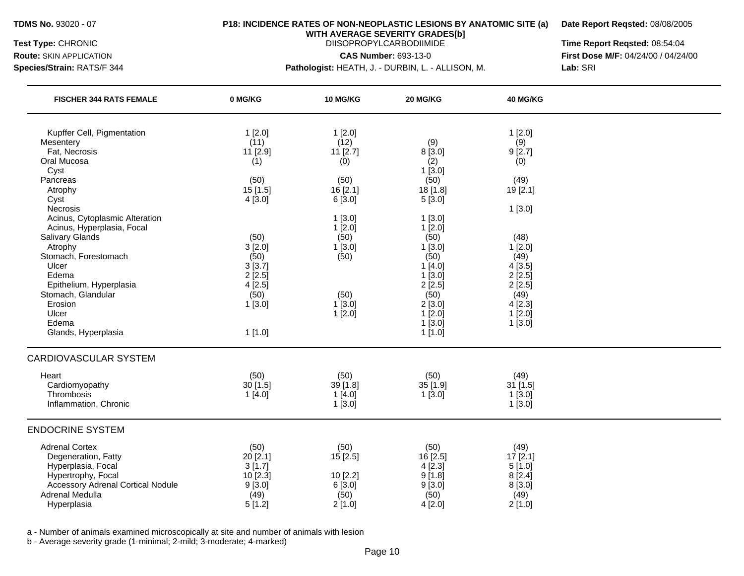#### **P18: INCIDENCE RATES OF NON-NEOPLASTIC LESIONS BY ANATOMIC SITE (a)**

**Date Report Reqsted:** 08/08/2005

**WITH AVERAGE SEVERITY GRADES[b]**  DIISOPROPYLCARBODIIMIDE

**CAS Number:** 693-13-0

**Route:** SKIN APPLICATION **Species/Strain:** RATS/F 344

**Pathologist:** HEATH, J. - DURBIN, L. - ALLISON, M.

**Time Report Reqsted:** 08:54:04 **First Dose M/F:** 04/24/00 / 04/24/00 **Lab:** SRI

| <b>FISCHER 344 RATS FEMALE</b>                                                                                                                                         | 0 MG/KG                                                           | 10 MG/KG                                                  | 20 MG/KG                                                         | 40 MG/KG                                                            |  |
|------------------------------------------------------------------------------------------------------------------------------------------------------------------------|-------------------------------------------------------------------|-----------------------------------------------------------|------------------------------------------------------------------|---------------------------------------------------------------------|--|
| Kupffer Cell, Pigmentation<br>Mesentery<br>Fat, Necrosis                                                                                                               | 1[2.0]<br>(11)<br>11 [2.9]                                        | 1[2.0]<br>(12)<br>11 [2.7]                                | (9)<br>8 [3.0]                                                   | 1[2.0]<br>(9)<br>9[2.7]                                             |  |
| Oral Mucosa<br>Cyst                                                                                                                                                    | (1)                                                               | (0)                                                       | (2)<br>1[3.0]                                                    | (0)                                                                 |  |
| Pancreas<br>Atrophy<br>Cyst                                                                                                                                            | (50)<br>15[1.5]<br>4[3.0]                                         | (50)<br>16 [2.1]<br>6 [3.0]                               | (50)<br>18 [1.8]<br>5[3.0]                                       | (49)<br>19 [2.1]                                                    |  |
| Necrosis<br>Acinus, Cytoplasmic Alteration<br>Acinus, Hyperplasia, Focal<br>Salivary Glands                                                                            | (50)                                                              | 1[3.0]<br>1[2.0]<br>(50)                                  | $1$ [3.0]<br>1[2.0]<br>(50)                                      | 1[3.0]<br>(48)                                                      |  |
| Atrophy<br>Stomach, Forestomach<br>Ulcer<br>Edema<br>Epithelium, Hyperplasia                                                                                           | 3[2.0]<br>(50)<br>3[3.7]<br>2[2.5]<br>4[2.5]                      | 1[3.0]<br>(50)                                            | 1[3.0]<br>(50)<br>1[4.0]<br>1[3.0]<br>2[2.5]                     | 1[2.0]<br>(49)<br>4[3.5]<br>2[2.5]<br>2[2.5]                        |  |
| Stomach, Glandular<br>Erosion<br>Ulcer<br>Edema<br>Glands, Hyperplasia                                                                                                 | (50)<br>1[3.0]<br>1[1.0]                                          | (50)<br>1[3.0]<br>1[2.0]                                  | (50)<br>2[3.0]<br>1[2.0]<br>1[3.0]<br>1[1.0]                     | (49)<br>4[2.3]<br>1[2.0]<br>1[3.0]                                  |  |
| <b>CARDIOVASCULAR SYSTEM</b>                                                                                                                                           |                                                                   |                                                           |                                                                  |                                                                     |  |
| Heart<br>Cardiomyopathy<br>Thrombosis<br>Inflammation, Chronic                                                                                                         | (50)<br>30[1.5]<br>1[4.0]                                         | (50)<br>39 [1.8]<br>1[4.0]<br>1[3.0]                      | (50)<br>$35$ [1.9]<br>1[3.0]                                     | (49)<br>$31$ [1.5]<br>1[3.0]<br>1[3.0]                              |  |
| <b>ENDOCRINE SYSTEM</b>                                                                                                                                                |                                                                   |                                                           |                                                                  |                                                                     |  |
| <b>Adrenal Cortex</b><br>Degeneration, Fatty<br>Hyperplasia, Focal<br>Hypertrophy, Focal<br><b>Accessory Adrenal Cortical Nodule</b><br>Adrenal Medulla<br>Hyperplasia | (50)<br>20[2.1]<br>3[1.7]<br>10 [2.3]<br>9[3.0]<br>(49)<br>5[1.2] | (50)<br>15 [2.5]<br>10 [2.2]<br>6 [3.0]<br>(50)<br>2[1.0] | (50)<br>16 [2.5]<br>4[2.3]<br>9[1.8]<br>9[3.0]<br>(50)<br>4[2.0] | (49)<br>$17$ [2.1]<br>5[1.0]<br>8[2.4]<br>8 [3.0]<br>(49)<br>2[1.0] |  |

a - Number of animals examined microscopically at site and number of animals with lesion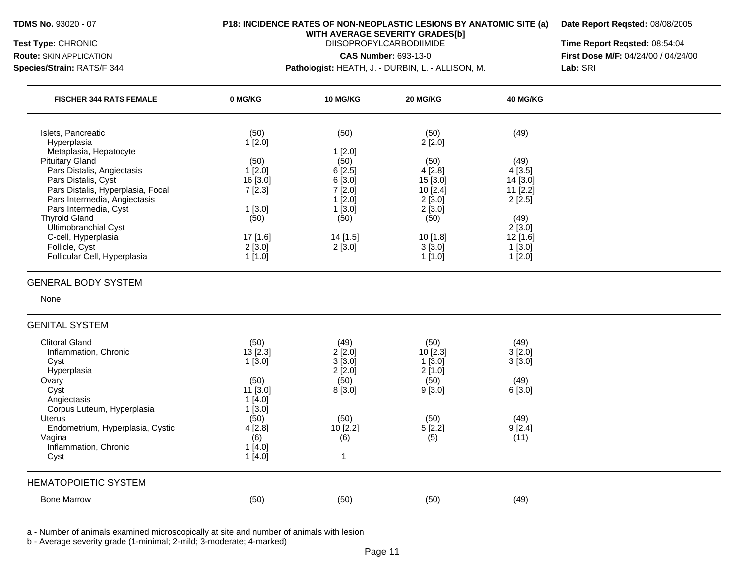## **TDMS No.** 93020 - 07 **P18: INCIDENCE RATES OF NON-NEOPLASTIC LESIONS BY ANATOMIC SITE (a) Date Report Reqsted:** 08/08/2005

**WITH AVERAGE SEVERITY GRADES[b]** 

**Species/Strain:** RATS/F 344 **Pathologist:** HEATH, J. - DURBIN, L. - ALLISON, M. **Lab:** SRI

**Test Type:** CHRONIC **Time Report Reqsted:** 08:54:04 **Route:** SKIN APPLICATION **CAS Number:** 693-13-0 **First Dose M/F:** 04/24/00 / 04/24/00

| <b>FISCHER 344 RATS FEMALE</b>                                                                                                                                                                                                                      | 0 MG/KG                                                                    | 10 MG/KG                                                                 | 20 MG/KG                                                           | 40 MG/KG                                                           |  |
|-----------------------------------------------------------------------------------------------------------------------------------------------------------------------------------------------------------------------------------------------------|----------------------------------------------------------------------------|--------------------------------------------------------------------------|--------------------------------------------------------------------|--------------------------------------------------------------------|--|
| Islets, Pancreatic<br>Hyperplasia                                                                                                                                                                                                                   | (50)<br>1[2.0]                                                             | (50)                                                                     | (50)<br>2[2.0]                                                     | (49)                                                               |  |
| Metaplasia, Hepatocyte<br><b>Pituitary Gland</b><br>Pars Distalis, Angiectasis<br>Pars Distalis, Cyst<br>Pars Distalis, Hyperplasia, Focal<br>Pars Intermedia, Angiectasis<br>Pars Intermedia, Cyst<br><b>Thyroid Gland</b><br>Ultimobranchial Cyst | (50)<br>1[2.0]<br>16 [3.0]<br>7[2.3]<br>1[3.0]<br>(50)                     | 1[2.0]<br>(50)<br>6[2.5]<br>6[3.0]<br>7[2.0]<br>1[2.0]<br>1[3.0]<br>(50) | (50)<br>4[2.8]<br>15 [3.0]<br>10 [2.4]<br>2[3.0]<br>2[3.0]<br>(50) | (49)<br>4[3.5]<br>14 [3.0]<br>11 [2.2]<br>2[2.5]<br>(49)<br>2[3.0] |  |
| C-cell, Hyperplasia<br>Follicle, Cyst<br>Follicular Cell, Hyperplasia                                                                                                                                                                               | 17 [1.6]<br>2[3.0]<br>1[1.0]                                               | 14 [1.5]<br>2[3.0]                                                       | 10 [1.8]<br>3[3.0]<br>1[1.0]                                       | 12 [1.6]<br>1[3.0]<br>1[2.0]                                       |  |
| <b>GENERAL BODY SYSTEM</b><br>None<br><b>GENITAL SYSTEM</b>                                                                                                                                                                                         |                                                                            |                                                                          |                                                                    |                                                                    |  |
| <b>Clitoral Gland</b><br>Inflammation, Chronic<br>Cyst<br>Hyperplasia<br>Ovary<br>Cyst<br>Angiectasis<br>Corpus Luteum, Hyperplasia<br>Uterus                                                                                                       | (50)<br>13 [2.3]<br>1[3.0]<br>(50)<br>11 [3.0]<br>1[4.0]<br>1[3.0]<br>(50) | (49)<br>2[2.0]<br>3[3.0]<br>2[2.0]<br>(50)<br>8 [3.0]<br>(50)            | (50)<br>10[2.3]<br>1[3.0]<br>2[1.0]<br>(50)<br>9[3.0]<br>(50)      | (49)<br>3[2.0]<br>3[3.0]<br>(49)<br>6[3.0]<br>(49)                 |  |
| Endometrium, Hyperplasia, Cystic<br>Vagina<br>Inflammation, Chronic<br>Cyst<br><b>HEMATOPOIETIC SYSTEM</b>                                                                                                                                          | 4[2.8]<br>(6)<br>1[4.0]<br>1[4.0]                                          | 10 [2.2]<br>(6)<br>$\mathbf{1}$                                          | 5[2.2]<br>(5)                                                      | 9[2.4]<br>(11)                                                     |  |
| <b>Bone Marrow</b>                                                                                                                                                                                                                                  | (50)                                                                       | (50)                                                                     | (50)                                                               | (49)                                                               |  |

a - Number of animals examined microscopically at site and number of animals with lesion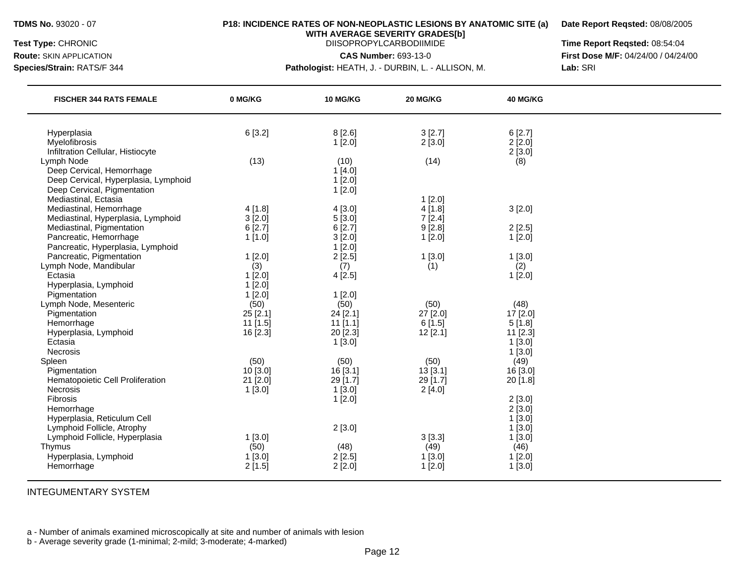**Route:** SKIN APPLICATION

## **P18: INCIDENCE RATES OF NON-NEOPLASTIC LESIONS BY ANATOMIC SITE (a)**

**Date Report Reqsted:** 08/08/2005

**WITH AVERAGE SEVERITY GRADES[b]**  DIISOPROPYLCARBODIIMIDE

**CAS Number:** 693-13-0

**Species/Strain:** RATS/F 344

**Pathologist:** HEATH, J. - DURBIN, L. - ALLISON, M.

**Time Report Reqsted:** 08:54:04 **First Dose M/F:** 04/24/00 / 04/24/00 **Lab:** SRI

| <b>FISCHER 344 RATS FEMALE</b>                                                                   | 0 MG/KG                          | 10 MG/KG                           | 20 MG/KG                      | 40 MG/KG                       |  |
|--------------------------------------------------------------------------------------------------|----------------------------------|------------------------------------|-------------------------------|--------------------------------|--|
| Hyperplasia<br>Myelofibrosis                                                                     | 6[3.2]                           | 8[2.6]<br>1[2.0]                   | 3[2.7]<br>2[3.0]              | 6[2.7]<br>2[2.0]               |  |
| Infiltration Cellular, Histiocyte<br>Lymph Node                                                  | (13)                             | (10)                               | (14)                          | 2[3.0]<br>(8)                  |  |
| Deep Cervical, Hemorrhage<br>Deep Cervical, Hyperplasia, Lymphoid<br>Deep Cervical, Pigmentation |                                  | 1[4.0]<br>1[2.0]<br>1[2.0]         |                               |                                |  |
| Mediastinal, Ectasia<br>Mediastinal, Hemorrhage                                                  | 4[1.8]                           | 4[3.0]                             | $1$ [2.0]<br>4[1.8]           | 3[2.0]                         |  |
| Mediastinal, Hyperplasia, Lymphoid<br>Mediastinal, Pigmentation<br>Pancreatic, Hemorrhage        | 3[2.0]<br>6[2.7]<br>1[1.0]       | 5[3.0]<br>6[2.7]<br>3[2.0]         | 7[2.4]<br>9[2.8]<br>1[2.0]    | 2[2.5]<br>1[2.0]               |  |
| Pancreatic, Hyperplasia, Lymphoid<br>Pancreatic, Pigmentation                                    | 1[2.0]                           | 1[2.0]<br>2[2.5]                   | 1[3.0]                        | 1[3.0]                         |  |
| Lymph Node, Mandibular<br>Ectasia<br>Hyperplasia, Lymphoid                                       | (3)<br>1[2.0]<br>1[2.0]          | (7)<br>4[2.5]                      | (1)                           | (2)<br>1[2.0]                  |  |
| Pigmentation<br>Lymph Node, Mesenteric                                                           | 1[2.0]<br>(50)                   | 1[2.0]<br>(50)                     | (50)                          | (48)                           |  |
| Pigmentation<br>Hemorrhage<br>Hyperplasia, Lymphoid                                              | 25 [2.1]<br>11 [1.5]<br>16 [2.3] | 24 [2.1]<br>$11$ [1.1]<br>20 [2.3] | 27 [2.0]<br>6[1.5]<br>12[2.1] | 17 [2.0]<br>5[1.8]<br>11 [2.3] |  |
| Ectasia<br><b>Necrosis</b>                                                                       |                                  | 1[3.0]                             |                               | 1[3.0]<br>1[3.0]               |  |
| Spleen<br>Pigmentation<br>Hematopoietic Cell Proliferation                                       | (50)<br>10 [3.0]<br>21 [2.0]     | (50)<br>16 [3.1]<br>29 [1.7]       | (50)<br>13[3.1]<br>29 [1.7]   | (49)<br>16 [3.0]<br>20 [1.8]   |  |
| Necrosis<br>Fibrosis                                                                             | 1[3.0]                           | 1[3.0]<br>1[2.0]                   | 2[4.0]                        | 2[3.0]                         |  |
| Hemorrhage<br>Hyperplasia, Reticulum Cell<br>Lymphoid Follicle, Atrophy                          |                                  | 2[3.0]                             |                               | 2[3.0]<br>1[3.0]<br>1[3.0]     |  |
| Lymphoid Follicle, Hyperplasia<br>Thymus                                                         | 1[3.0]<br>(50)                   | (48)                               | 3[3.3]<br>(49)                | 1[3.0]<br>(46)                 |  |
| Hyperplasia, Lymphoid<br>Hemorrhage                                                              | 1[3.0]<br>2[1.5]                 | 2[2.5]<br>2[2.0]                   | 1[3.0]<br>$1$ [2.0]           | 1[2.0]<br>1[3.0]               |  |

INTEGUMENTARY SYSTEM

a - Number of animals examined microscopically at site and number of animals with lesion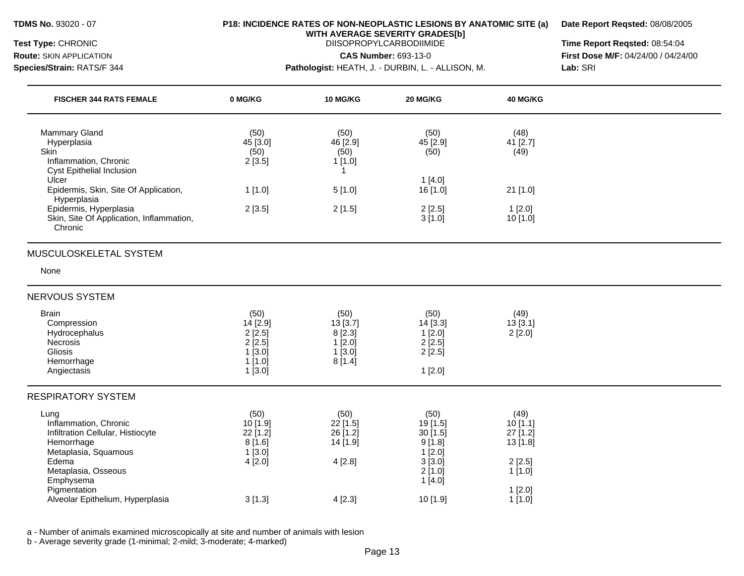### **P18: INCIDENCE RATES OF NON-NEOPLASTIC LESIONS BY ANATOMIC SITE (a)**

**Date Report Reqsted:** 08/08/2005

**WITH AVERAGE SEVERITY GRADES[b]**  DIISOPROPYLCARBODIIMIDE

**CAS Number:** 693-13-0

**Route:** SKIN APPLICATION **Species/Strain:** RATS/F 344

**Pathologist:** HEATH, J. - DURBIN, L. - ALLISON, M.

**Time Report Reqsted:** 08:54:04 **First Dose M/F:** 04/24/00 / 04/24/00 **Lab:** SRI

| <b>FISCHER 344 RATS FEMALE</b>                                                                                                                        | 0 MG/KG                                                              | <b>10 MG/KG</b>                                                | 20 MG/KG                                                                      | <b>40 MG/KG</b>                                             |  |
|-------------------------------------------------------------------------------------------------------------------------------------------------------|----------------------------------------------------------------------|----------------------------------------------------------------|-------------------------------------------------------------------------------|-------------------------------------------------------------|--|
| <b>Mammary Gland</b><br>Hyperplasia<br><b>Skin</b><br>Inflammation, Chronic<br>Cyst Epithelial Inclusion                                              | (50)<br>45 [3.0]<br>(50)<br>2[3.5]                                   | (50)<br>46 [2.9]<br>(50)<br>1[1.0]<br>-1                       | (50)<br>45 [2.9]<br>(50)                                                      | (48)<br>41 [2.7]<br>(49)                                    |  |
| Ulcer<br>Epidermis, Skin, Site Of Application,<br>Hyperplasia                                                                                         | 1[1.0]                                                               | 5[1.0]                                                         | 1[4.0]<br>16 [1.0]                                                            | 21 [1.0]                                                    |  |
| Epidermis, Hyperplasia<br>Skin, Site Of Application, Inflammation,<br>Chronic                                                                         | 2[3.5]                                                               | 2[1.5]                                                         | 2[2.5]<br>3[1.0]                                                              | 1[2.0]<br>10 [1.0]                                          |  |
| MUSCULOSKELETAL SYSTEM                                                                                                                                |                                                                      |                                                                |                                                                               |                                                             |  |
| None                                                                                                                                                  |                                                                      |                                                                |                                                                               |                                                             |  |
| <b>NERVOUS SYSTEM</b>                                                                                                                                 |                                                                      |                                                                |                                                                               |                                                             |  |
| <b>Brain</b><br>Compression<br>Hydrocephalus<br>Necrosis<br>Gliosis<br>Hemorrhage<br>Angiectasis                                                      | (50)<br>14[2.9]<br>2[2.5]<br>2[2.5]<br>$1$ [3.0]<br>1[1.0]<br>1[3.0] | (50)<br>13 [3.7]<br>8[2.3]<br>$1$ [2.0]<br>$1$ [3.0]<br>8[1.4] | (50)<br>14 [3.3]<br>1[2.0]<br>2[2.5]<br>$2$ [ $2.5$ ]<br>1[2.0]               | (49)<br>13[3.1]<br>2[2.0]                                   |  |
| <b>RESPIRATORY SYSTEM</b>                                                                                                                             |                                                                      |                                                                |                                                                               |                                                             |  |
| Lung<br>Inflammation, Chronic<br>Infiltration Cellular, Histiocyte<br>Hemorrhage<br>Metaplasia, Squamous<br>Edema<br>Metaplasia, Osseous<br>Emphysema | (50)<br>10 [1.9]<br>22 [1.2]<br>8[1.6]<br>$1$ [3.0]<br>4[2.0]        | (50)<br>22 [1.5]<br>26 [1.2]<br>14 [1.9]<br>4[2.8]             | (50)<br>19 [1.5]<br>30[1.5]<br>9[1.8]<br>1[2.0]<br>3[3.0]<br>2[1.0]<br>1[4.0] | (49)<br>10[1.1]<br>27 [1.2]<br>13 [1.8]<br>2[2.5]<br>1[1.0] |  |
| Pigmentation<br>Alveolar Epithelium, Hyperplasia                                                                                                      | 3[1.3]                                                               | 4[2.3]                                                         | 10 [1.9]                                                                      | 1[2.0]<br>$1$ [1.0]                                         |  |

a - Number of animals examined microscopically at site and number of animals with lesion